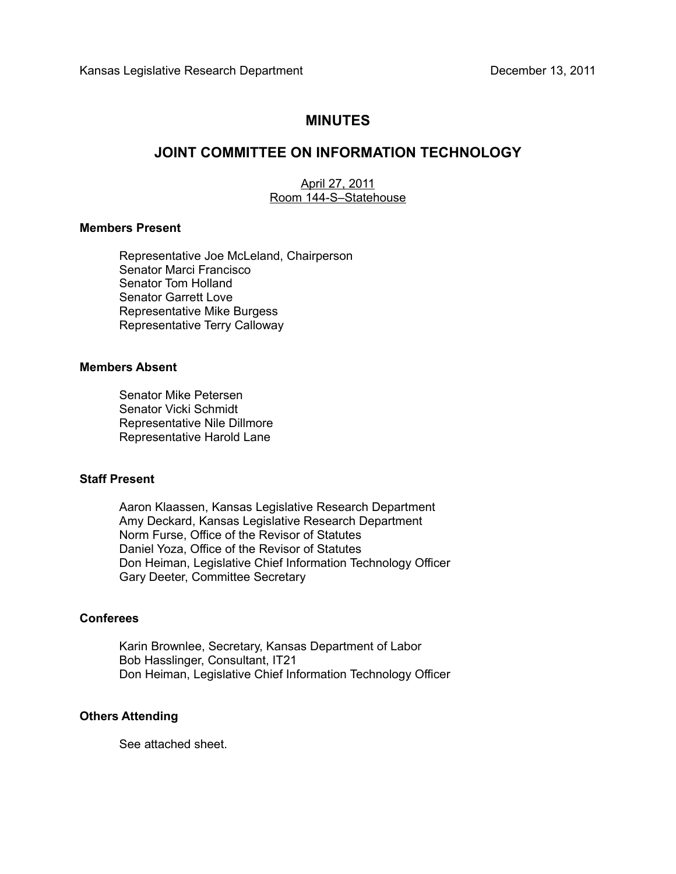# **MINUTES**

# **JOINT COMMITTEE ON INFORMATION TECHNOLOGY**

April 27, 2011 Room 144-S–Statehouse

#### **Members Present**

Representative Joe McLeland, Chairperson Senator Marci Francisco Senator Tom Holland Senator Garrett Love Representative Mike Burgess Representative Terry Calloway

### **Members Absent**

Senator Mike Petersen Senator Vicki Schmidt Representative Nile Dillmore Representative Harold Lane

## **Staff Present**

Aaron Klaassen, Kansas Legislative Research Department Amy Deckard, Kansas Legislative Research Department Norm Furse, Office of the Revisor of Statutes Daniel Yoza, Office of the Revisor of Statutes Don Heiman, Legislative Chief Information Technology Officer Gary Deeter, Committee Secretary

## **Conferees**

Karin Brownlee, Secretary, Kansas Department of Labor Bob Hasslinger, Consultant, IT21 Don Heiman, Legislative Chief Information Technology Officer

### **Others Attending**

See attached sheet.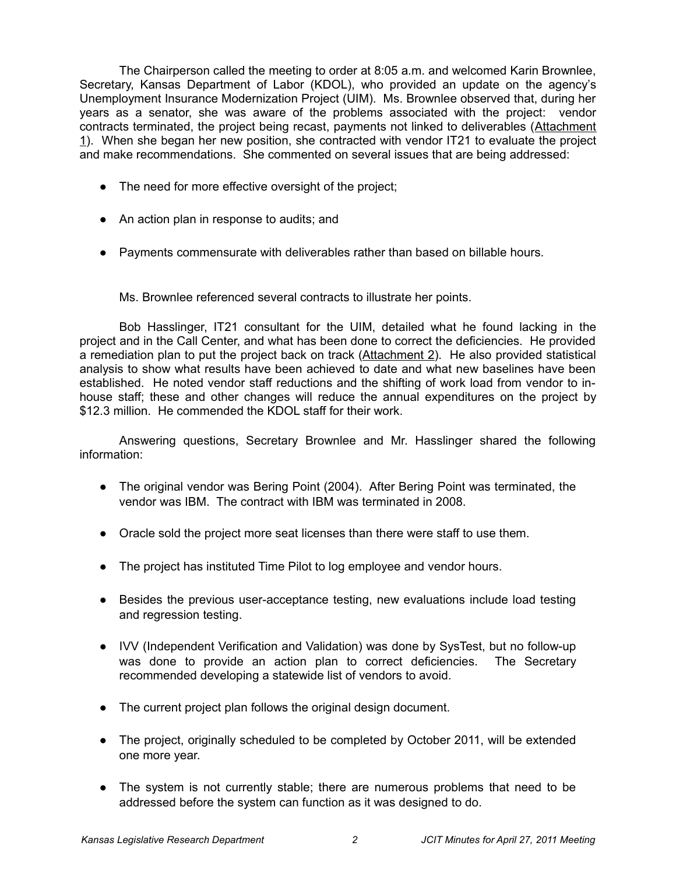The Chairperson called the meeting to order at 8:05 a.m. and welcomed Karin Brownlee, Secretary, Kansas Department of Labor (KDOL), who provided an update on the agency's Unemployment Insurance Modernization Project (UIM). Ms. Brownlee observed that, during her years as a senator, she was aware of the problems associated with the project: vendor contracts terminated, the project being recast, payments not linked to deliverables (Attachment 1). When she began her new position, she contracted with vendor IT21 to evaluate the project and make recommendations. She commented on several issues that are being addressed:

- The need for more effective oversight of the project;
- An action plan in response to audits; and
- Payments commensurate with deliverables rather than based on billable hours.

Ms. Brownlee referenced several contracts to illustrate her points.

Bob Hasslinger, IT21 consultant for the UIM, detailed what he found lacking in the project and in the Call Center, and what has been done to correct the deficiencies. He provided a remediation plan to put the project back on track (Attachment 2). He also provided statistical analysis to show what results have been achieved to date and what new baselines have been established. He noted vendor staff reductions and the shifting of work load from vendor to inhouse staff; these and other changes will reduce the annual expenditures on the project by \$12.3 million. He commended the KDOL staff for their work.

Answering questions, Secretary Brownlee and Mr. Hasslinger shared the following information:

- The original vendor was Bering Point (2004). After Bering Point was terminated, the vendor was IBM. The contract with IBM was terminated in 2008.
- Oracle sold the project more seat licenses than there were staff to use them.
- The project has instituted Time Pilot to log employee and vendor hours.
- Besides the previous user-acceptance testing, new evaluations include load testing and regression testing.
- IVV (Independent Verification and Validation) was done by SysTest, but no follow-up was done to provide an action plan to correct deficiencies. The Secretary recommended developing a statewide list of vendors to avoid.
- The current project plan follows the original design document.
- The project, originally scheduled to be completed by October 2011, will be extended one more year.
- The system is not currently stable; there are numerous problems that need to be addressed before the system can function as it was designed to do.